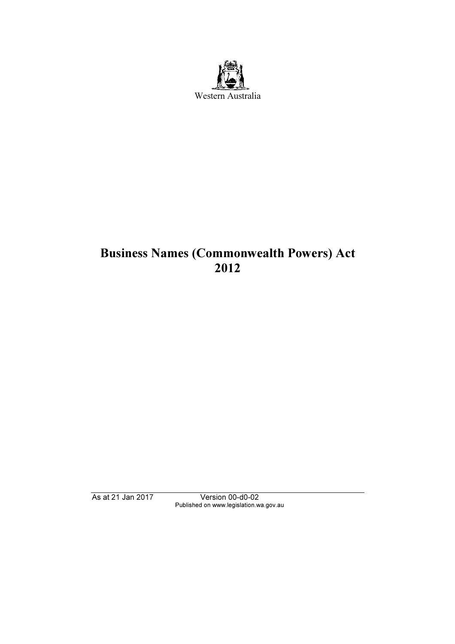

# Business Names (Commonwealth Powers) Act 2012

As at 21 Jan 2017 Version 00-d0-02 Published on www.legislation.wa.gov.au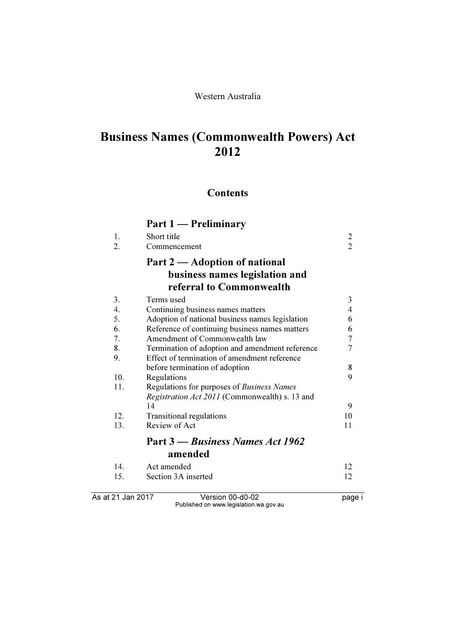#### Western Australia

# Business Names (Commonwealth Powers) Act 2012

# **Contents**

|                   | Part 1 — Preliminary                            |                |
|-------------------|-------------------------------------------------|----------------|
| 1.                | Short title                                     | $\overline{c}$ |
| 2.                | Commencement                                    | $\overline{2}$ |
|                   | Part 2 — Adoption of national                   |                |
|                   | business names legislation and                  |                |
|                   | referral to Commonwealth                        |                |
| 3.                | Terms used                                      | 3              |
| 4.                | Continuing business names matters               | $\overline{4}$ |
| 5.                | Adoption of national business names legislation | 6              |
| 6.                | Reference of continuing business names matters  | 6              |
| 7.                | Amendment of Commonwealth law                   | $\overline{7}$ |
| 8.                | Termination of adoption and amendment reference | 7              |
| 9.                | Effect of termination of amendment reference    |                |
|                   | before termination of adoption                  | 8              |
| 10.               | Regulations                                     | 9              |
| 11.               | Regulations for purposes of Business Names      |                |
|                   | Registration Act 2011 (Commonwealth) s. 13 and  |                |
|                   | 14                                              | 9              |
| 12.               | Transitional regulations                        | 10             |
| 13.               | Review of Act                                   | 11             |
|                   | Part 3 – Business Names Act 1962                |                |
|                   | amended                                         |                |
| 14.               | Act amended                                     | 12             |
| 15.               | Section 3A inserted                             | 12             |
| As at 21 Jan 2017 | Version 00-d0-02                                | page i         |

Published on www.legislation.wa.gov.au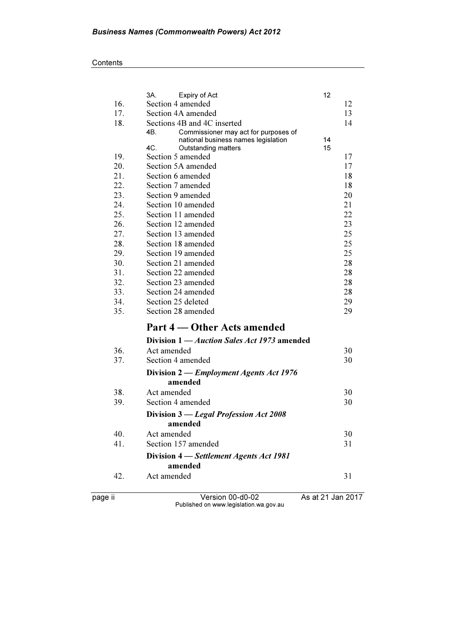|     | 3A.<br>Expiry of Act                                              | 12       |    |
|-----|-------------------------------------------------------------------|----------|----|
| 16. | Section 4 amended                                                 |          | 12 |
| 17. | Section 4A amended                                                |          | 13 |
| 18. | Sections 4B and 4C inserted                                       |          | 14 |
|     | 4B.<br>Commissioner may act for purposes of                       |          |    |
|     | national business names legislation<br>4C.<br>Outstanding matters | 14<br>15 |    |
| 19. | Section 5 amended                                                 |          | 17 |
| 20. | Section 5A amended                                                |          | 17 |
| 21. | Section 6 amended                                                 |          | 18 |
| 22. | Section 7 amended                                                 |          | 18 |
| 23. | Section 9 amended                                                 |          | 20 |
| 24. | Section 10 amended                                                |          | 21 |
| 25. | Section 11 amended                                                |          | 22 |
| 26. | Section 12 amended                                                |          | 23 |
| 27. | Section 13 amended                                                |          | 25 |
| 28. | Section 18 amended                                                |          | 25 |
| 29. | Section 19 amended                                                |          | 25 |
| 30. | Section 21 amended                                                |          | 28 |
| 31. | Section 22 amended                                                |          | 28 |
| 32. | Section 23 amended                                                |          | 28 |
| 33. | Section 24 amended                                                |          | 28 |
| 34. | Section 25 deleted                                                |          | 29 |
| 35. | Section 28 amended                                                |          | 29 |
|     | Part 4 — Other Acts amended                                       |          |    |
|     | Division 1 — <i>Auction Sales Act 1973</i> amended                |          |    |
| 36. | Act amended                                                       |          | 30 |
| 37. | Section 4 amended                                                 |          | 30 |
|     | Division 2 — <i>Employment Agents Act 1976</i>                    |          |    |
|     | amended                                                           |          |    |
| 38. | Act amended                                                       |          | 30 |
| 39. | Section 4 amended                                                 |          | 30 |
|     | Division 3 - Legal Profession Act 2008                            |          |    |
|     | amended                                                           |          |    |
| 40. | Act amended                                                       |          | 30 |
| 41. | Section 157 amended                                               |          | 31 |
|     | Division 4 – Settlement Agents Act 1981                           |          |    |
|     | amended                                                           |          |    |
| 42. | Act amended                                                       |          | 31 |
|     |                                                                   |          |    |

page ii Version 00-d0-02 As at 21 Jan 2017 Published on www.legislation.wa.gov.au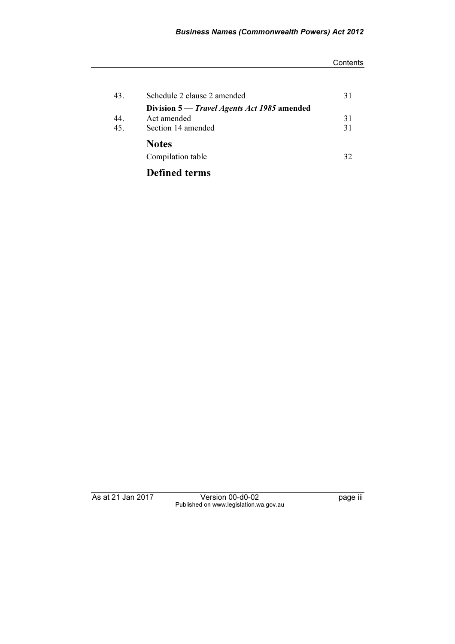#### **Contents**

| 43. | Schedule 2 clause 2 amended                 | 31 |
|-----|---------------------------------------------|----|
|     | Division 5 — Travel Agents Act 1985 amended |    |
| 44. | Act amended                                 | 31 |
| 45. | Section 14 amended                          | 31 |
|     | <b>Notes</b>                                |    |
|     | Compilation table                           | 32 |
|     | <b>Defined terms</b>                        |    |

As at 21 Jan 2017 Version 00-d0-02 page iii Published on www.legislation.wa.gov.au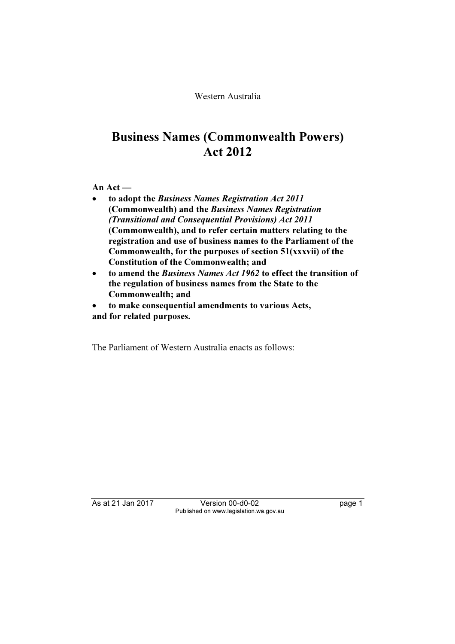Western Australia

# Business Names (Commonwealth Powers) Act 2012

An Act —

- • to adopt the Business Names Registration Act 2011 (Commonwealth) and the Business Names Registration (Transitional and Consequential Provisions) Act 2011 (Commonwealth), and to refer certain matters relating to the registration and use of business names to the Parliament of the Commonwealth, for the purposes of section 51(xxxvii) of the Constitution of the Commonwealth; and
- • to amend the Business Names Act 1962 to effect the transition of the regulation of business names from the State to the Commonwealth; and
- • to make consequential amendments to various Acts, and for related purposes.

The Parliament of Western Australia enacts as follows:

As at 21 Jan 2017 Version 00-d0-02 page 1 Published on www.legislation.wa.gov.au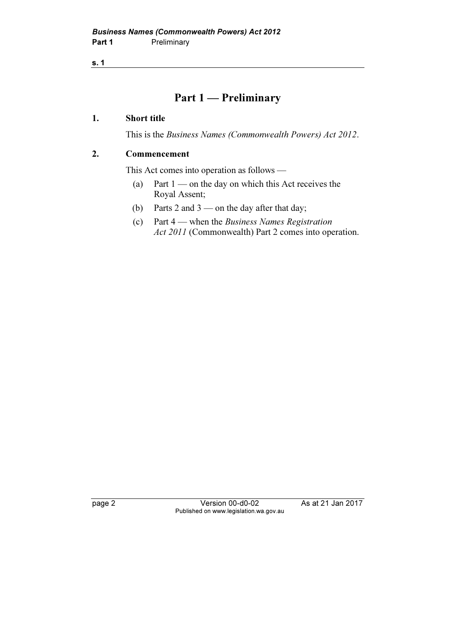# Part 1 — Preliminary

#### 1. Short title

This is the Business Names (Commonwealth Powers) Act 2012.

#### 2. Commencement

This Act comes into operation as follows —

- (a) Part  $1$  on the day on which this Act receives the Royal Assent;
- (b) Parts 2 and 3 on the day after that day;
- (c) Part 4 when the Business Names Registration Act 2011 (Commonwealth) Part 2 comes into operation.

page 2 Version 00-d0-02 As at 21 Jan 2017 Published on www.legislation.wa.gov.au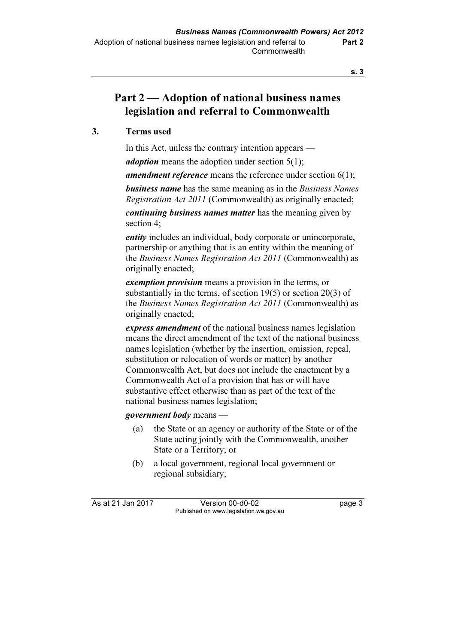# Part 2 — Adoption of national business names legislation and referral to Commonwealth

### 3. Terms used

In this Act, unless the contrary intention appears —

*adoption* means the adoption under section  $5(1)$ ;

**amendment reference** means the reference under section  $6(1)$ ;

**business name** has the same meaning as in the *Business Names* Registration Act 2011 (Commonwealth) as originally enacted;

continuing business names matter has the meaning given by section 4;

*entity* includes an individual, body corporate or unincorporate, partnership or anything that is an entity within the meaning of the Business Names Registration Act 2011 (Commonwealth) as originally enacted;

exemption provision means a provision in the terms, or substantially in the terms, of section 19(5) or section 20(3) of the Business Names Registration Act 2011 (Commonwealth) as originally enacted;

express amendment of the national business names legislation means the direct amendment of the text of the national business names legislation (whether by the insertion, omission, repeal, substitution or relocation of words or matter) by another Commonwealth Act, but does not include the enactment by a Commonwealth Act of a provision that has or will have substantive effect otherwise than as part of the text of the national business names legislation;

government body means —

- (a) the State or an agency or authority of the State or of the State acting jointly with the Commonwealth, another State or a Territory; or
- (b) a local government, regional local government or regional subsidiary;

As at 21 Jan 2017 Version 00-d0-02 page 3 Published on www.legislation.wa.gov.au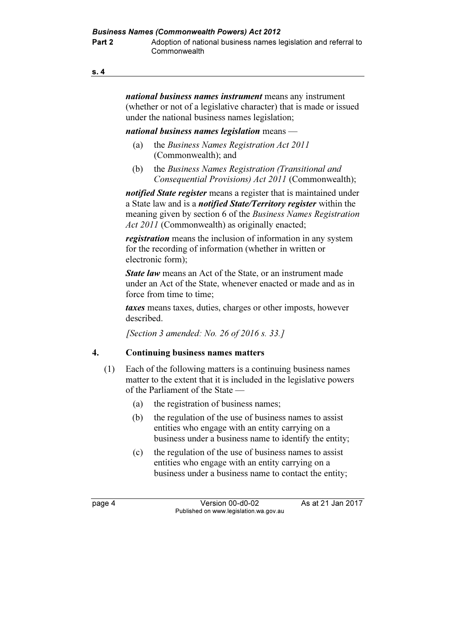national business names instrument means any instrument (whether or not of a legislative character) that is made or issued under the national business names legislation;

#### national business names legislation means  $-$

- (a) the Business Names Registration Act 2011 (Commonwealth); and
- (b) the Business Names Registration (Transitional and Consequential Provisions) Act 2011 (Commonwealth);

*notified State register* means a register that is maintained under a State law and is a *notified State/Territory register* within the meaning given by section 6 of the Business Names Registration Act 2011 (Commonwealth) as originally enacted;

**registration** means the inclusion of information in any system for the recording of information (whether in written or electronic form);

**State law** means an Act of the State, or an instrument made under an Act of the State, whenever enacted or made and as in force from time to time;

taxes means taxes, duties, charges or other imposts, however described.

[Section 3 amended: No. 26 of 2016 s. 33.]

### 4. Continuing business names matters

- (1) Each of the following matters is a continuing business names matter to the extent that it is included in the legislative powers of the Parliament of the State —
	- (a) the registration of business names;
	- (b) the regulation of the use of business names to assist entities who engage with an entity carrying on a business under a business name to identify the entity;
	- (c) the regulation of the use of business names to assist entities who engage with an entity carrying on a business under a business name to contact the entity;

page 4 Version 00-d0-02 As at 21 Jan 2017 Published on www.legislation.wa.gov.au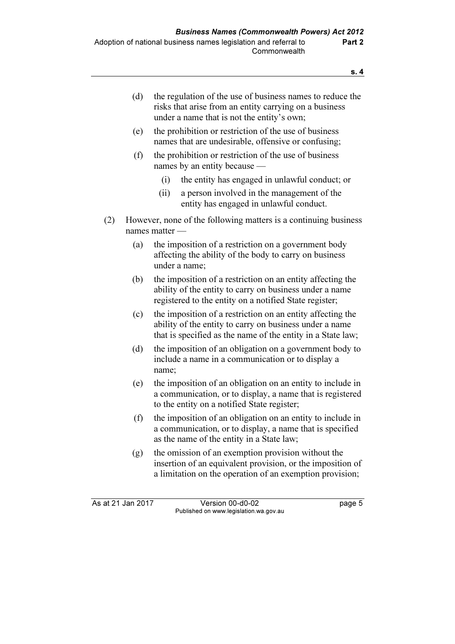| risks that arise from an entity carrying on a business<br>under a name that is not the entity's own; | (d) | the regulation of the use of business names to reduce the |
|------------------------------------------------------------------------------------------------------|-----|-----------------------------------------------------------|
|------------------------------------------------------------------------------------------------------|-----|-----------------------------------------------------------|

- (e) the prohibition or restriction of the use of business names that are undesirable, offensive or confusing;
- (f) the prohibition or restriction of the use of business names by an entity because —
	- (i) the entity has engaged in unlawful conduct; or
	- (ii) a person involved in the management of the entity has engaged in unlawful conduct.
- (2) However, none of the following matters is a continuing business names matter —
	- (a) the imposition of a restriction on a government body affecting the ability of the body to carry on business under a name;
	- (b) the imposition of a restriction on an entity affecting the ability of the entity to carry on business under a name registered to the entity on a notified State register;
	- (c) the imposition of a restriction on an entity affecting the ability of the entity to carry on business under a name that is specified as the name of the entity in a State law;
	- (d) the imposition of an obligation on a government body to include a name in a communication or to display a name;
	- (e) the imposition of an obligation on an entity to include in a communication, or to display, a name that is registered to the entity on a notified State register;
	- (f) the imposition of an obligation on an entity to include in a communication, or to display, a name that is specified as the name of the entity in a State law;
	- (g) the omission of an exemption provision without the insertion of an equivalent provision, or the imposition of a limitation on the operation of an exemption provision;

As at 21 Jan 2017 Version 00-d0-02 page 5 Published on www.legislation.wa.gov.au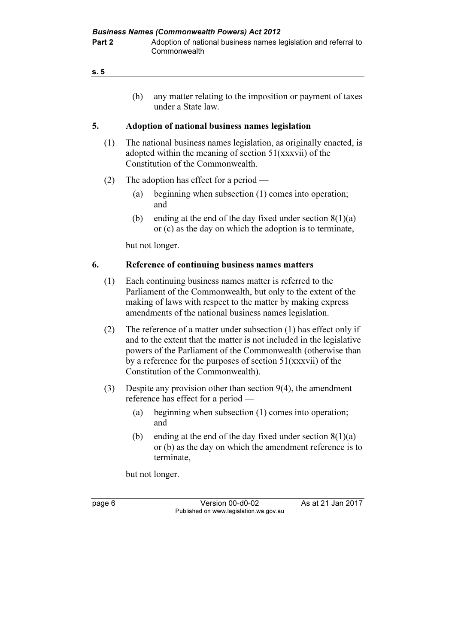| s. 5 |  |  |  |
|------|--|--|--|
|      |  |  |  |

 (h) any matter relating to the imposition or payment of taxes under a State law.

# 5. Adoption of national business names legislation

- (1) The national business names legislation, as originally enacted, is adopted within the meaning of section 51(xxxvii) of the Constitution of the Commonwealth.
- (2) The adoption has effect for a period
	- (a) beginning when subsection (1) comes into operation; and
	- (b) ending at the end of the day fixed under section  $8(1)(a)$ or (c) as the day on which the adoption is to terminate,

but not longer.

# 6. Reference of continuing business names matters

- (1) Each continuing business names matter is referred to the Parliament of the Commonwealth, but only to the extent of the making of laws with respect to the matter by making express amendments of the national business names legislation.
- (2) The reference of a matter under subsection (1) has effect only if and to the extent that the matter is not included in the legislative powers of the Parliament of the Commonwealth (otherwise than by a reference for the purposes of section 51(xxxvii) of the Constitution of the Commonwealth).
- (3) Despite any provision other than section 9(4), the amendment reference has effect for a period —
	- (a) beginning when subsection (1) comes into operation; and
	- (b) ending at the end of the day fixed under section  $8(1)(a)$ or (b) as the day on which the amendment reference is to terminate,

but not longer.

page 6 Version 00-d0-02 As at 21 Jan 2017 Published on www.legislation.wa.gov.au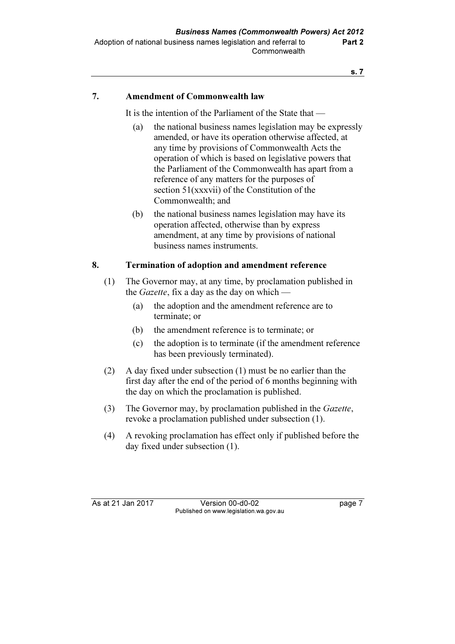## 7. Amendment of Commonwealth law

It is the intention of the Parliament of the State that —

- (a) the national business names legislation may be expressly amended, or have its operation otherwise affected, at any time by provisions of Commonwealth Acts the operation of which is based on legislative powers that the Parliament of the Commonwealth has apart from a reference of any matters for the purposes of section 51(xxxvii) of the Constitution of the Commonwealth; and
- (b) the national business names legislation may have its operation affected, otherwise than by express amendment, at any time by provisions of national business names instruments.

### 8. Termination of adoption and amendment reference

- (1) The Governor may, at any time, by proclamation published in the *Gazette*, fix a day as the day on which —
	- (a) the adoption and the amendment reference are to terminate; or
	- (b) the amendment reference is to terminate; or
	- (c) the adoption is to terminate (if the amendment reference has been previously terminated).
- (2) A day fixed under subsection (1) must be no earlier than the first day after the end of the period of 6 months beginning with the day on which the proclamation is published.
- (3) The Governor may, by proclamation published in the Gazette, revoke a proclamation published under subsection (1).
- (4) A revoking proclamation has effect only if published before the day fixed under subsection (1).

As at 21 Jan 2017 Version 00-d0-02 page 7 Published on www.legislation.wa.gov.au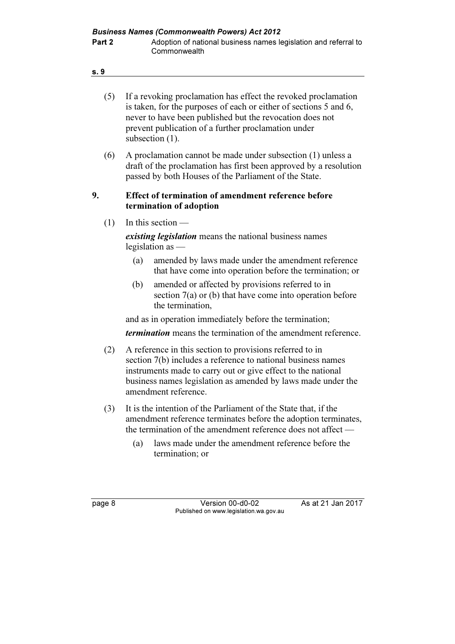| v.<br>۰. | ۰.<br>× |
|----------|---------|
|          |         |

| (5) | If a revoking proclamation has effect the revoked proclamation    |
|-----|-------------------------------------------------------------------|
|     | is taken, for the purposes of each or either of sections 5 and 6, |
|     | never to have been published but the revocation does not          |
|     | prevent publication of a further proclamation under               |
|     | subsection $(1)$ .                                                |

 (6) A proclamation cannot be made under subsection (1) unless a draft of the proclamation has first been approved by a resolution passed by both Houses of the Parliament of the State.

#### 9. Effect of termination of amendment reference before termination of adoption

(1) In this section —

existing *legislation* means the national business names legislation as —

- (a) amended by laws made under the amendment reference that have come into operation before the termination; or
- (b) amended or affected by provisions referred to in section 7(a) or (b) that have come into operation before the termination,

and as in operation immediately before the termination;

termination means the termination of the amendment reference.

- (2) A reference in this section to provisions referred to in section 7(b) includes a reference to national business names instruments made to carry out or give effect to the national business names legislation as amended by laws made under the amendment reference.
- (3) It is the intention of the Parliament of the State that, if the amendment reference terminates before the adoption terminates, the termination of the amendment reference does not affect —
	- (a) laws made under the amendment reference before the termination; or

|--|--|

page 8 Version 00-d0-02 As at 21 Jan 2017 Published on www.legislation.wa.gov.au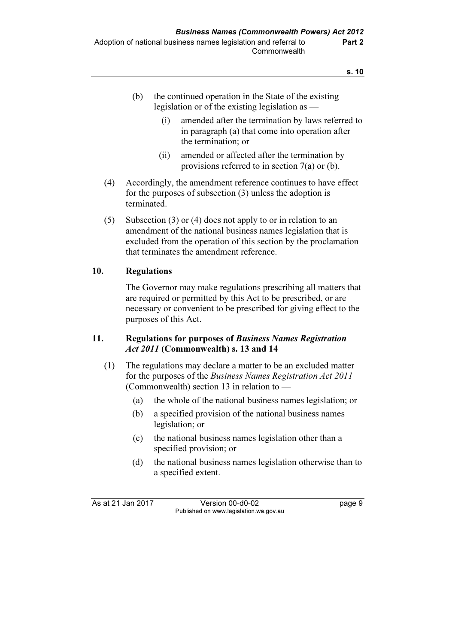| the continued operation in the State of the existing |
|------------------------------------------------------|
| legislation or of the existing legislation as $-$    |

- (i) amended after the termination by laws referred to in paragraph (a) that come into operation after the termination; or
- (ii) amended or affected after the termination by provisions referred to in section 7(a) or (b).
- (4) Accordingly, the amendment reference continues to have effect for the purposes of subsection (3) unless the adoption is terminated.
- (5) Subsection (3) or (4) does not apply to or in relation to an amendment of the national business names legislation that is excluded from the operation of this section by the proclamation that terminates the amendment reference.

# 10. Regulations

 The Governor may make regulations prescribing all matters that are required or permitted by this Act to be prescribed, or are necessary or convenient to be prescribed for giving effect to the purposes of this Act.

### 11. Regulations for purposes of Business Names Registration Act 2011 (Commonwealth) s. 13 and 14

- (1) The regulations may declare a matter to be an excluded matter for the purposes of the Business Names Registration Act 2011 (Commonwealth) section 13 in relation to —
	- (a) the whole of the national business names legislation; or
	- (b) a specified provision of the national business names legislation; or
	- (c) the national business names legislation other than a specified provision; or
	- (d) the national business names legislation otherwise than to a specified extent.

As at 21 Jan 2017 Version 00-d0-02 page 9 Published on www.legislation.wa.gov.au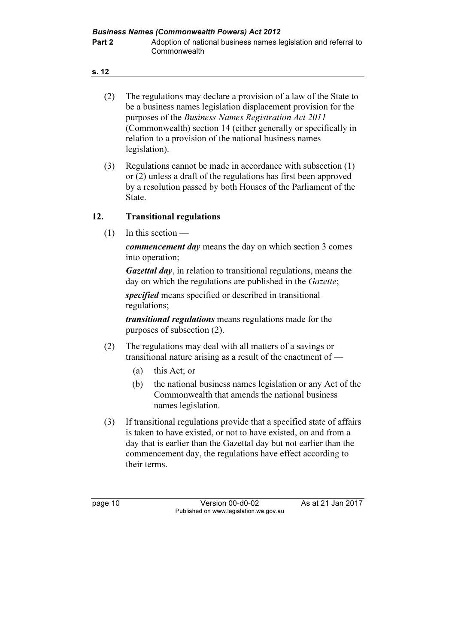- (2) The regulations may declare a provision of a law of the State to be a business names legislation displacement provision for the purposes of the Business Names Registration Act 2011 (Commonwealth) section 14 (either generally or specifically in relation to a provision of the national business names legislation).
- (3) Regulations cannot be made in accordance with subsection (1) or (2) unless a draft of the regulations has first been approved by a resolution passed by both Houses of the Parliament of the State.

#### 12. Transitional regulations

 $(1)$  In this section —

commencement day means the day on which section 3 comes into operation;

Gazettal day, in relation to transitional regulations, means the day on which the regulations are published in the *Gazette*;

specified means specified or described in transitional regulations;

transitional regulations means regulations made for the purposes of subsection (2).

- (2) The regulations may deal with all matters of a savings or transitional nature arising as a result of the enactment of —
	- (a) this Act; or
	- (b) the national business names legislation or any Act of the Commonwealth that amends the national business names legislation.
- (3) If transitional regulations provide that a specified state of affairs is taken to have existed, or not to have existed, on and from a day that is earlier than the Gazettal day but not earlier than the commencement day, the regulations have effect according to their terms.

page 10 Version 00-d0-02 As at 21 Jan 2017 Published on www.legislation.wa.gov.au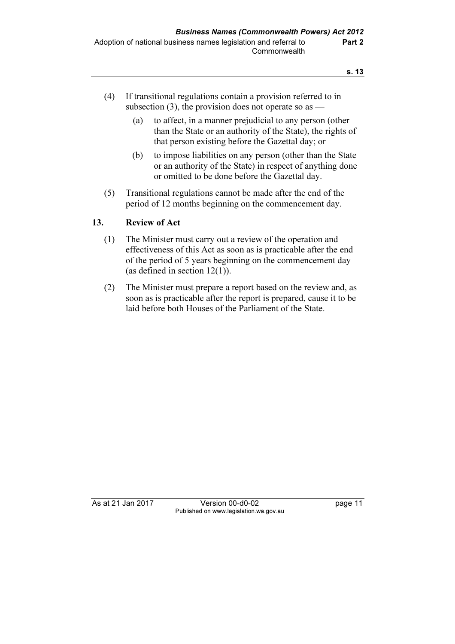- (4) If transitional regulations contain a provision referred to in subsection  $(3)$ , the provision does not operate so as —
	- (a) to affect, in a manner prejudicial to any person (other than the State or an authority of the State), the rights of that person existing before the Gazettal day; or
	- (b) to impose liabilities on any person (other than the State or an authority of the State) in respect of anything done or omitted to be done before the Gazettal day.
- (5) Transitional regulations cannot be made after the end of the period of 12 months beginning on the commencement day.

### 13. Review of Act

- (1) The Minister must carry out a review of the operation and effectiveness of this Act as soon as is practicable after the end of the period of 5 years beginning on the commencement day (as defined in section 12(1)).
- (2) The Minister must prepare a report based on the review and, as soon as is practicable after the report is prepared, cause it to be laid before both Houses of the Parliament of the State.

As at 21 Jan 2017 Version 00-d0-02 page 11 Published on www.legislation.wa.gov.au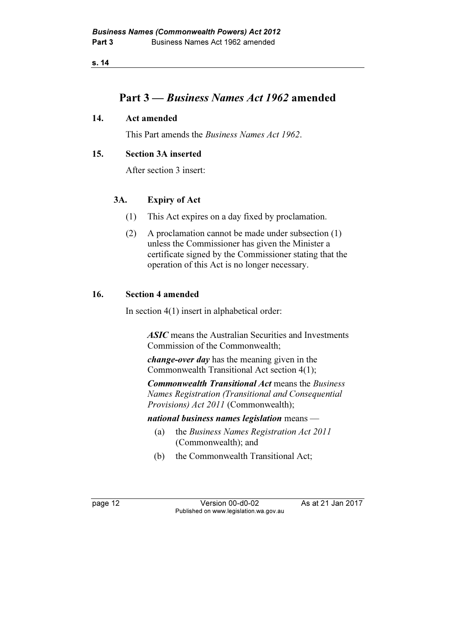# Part 3 — Business Names Act 1962 amended

#### 14. Act amended

This Part amends the Business Names Act 1962.

#### 15. Section 3A inserted

After section 3 insert:

# 3A. Expiry of Act

- (1) This Act expires on a day fixed by proclamation.
- (2) A proclamation cannot be made under subsection (1) unless the Commissioner has given the Minister a certificate signed by the Commissioner stating that the operation of this Act is no longer necessary.

### 16. Section 4 amended

In section 4(1) insert in alphabetical order:

ASIC means the Australian Securities and Investments Commission of the Commonwealth;

change-over day has the meaning given in the Commonwealth Transitional Act section 4(1);

Commonwealth Transitional Act means the Business Names Registration (Transitional and Consequential Provisions) Act 2011 (Commonwealth);

national business names legislation means  $-$ 

- (a) the Business Names Registration Act 2011 (Commonwealth); and
- (b) the Commonwealth Transitional Act;

page 12 Version 00-d0-02 As at 21 Jan 2017 Published on www.legislation.wa.gov.au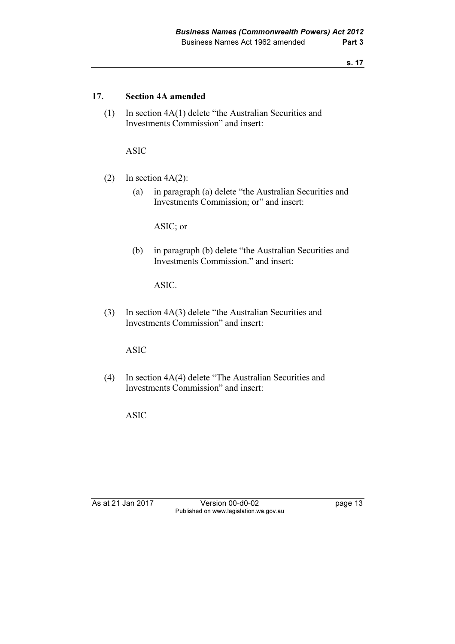#### 17. Section 4A amended

 (1) In section 4A(1) delete "the Australian Securities and Investments Commission" and insert:

ASIC

- (2) In section  $4A(2)$ :
	- (a) in paragraph (a) delete "the Australian Securities and Investments Commission; or" and insert:

ASIC; or

 (b) in paragraph (b) delete "the Australian Securities and Investments Commission." and insert:

ASIC.

 (3) In section 4A(3) delete "the Australian Securities and Investments Commission" and insert:

ASIC

 (4) In section 4A(4) delete "The Australian Securities and Investments Commission" and insert:

ASIC

As at 21 Jan 2017 Version 00-d0-02 page 13 Published on www.legislation.wa.gov.au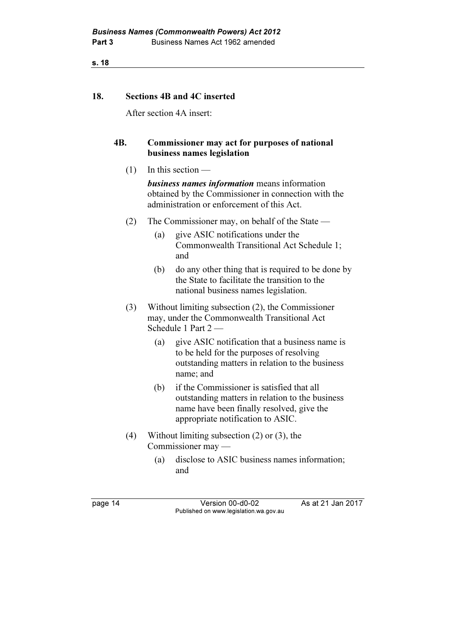#### 18. Sections 4B and 4C inserted

After section 4A insert:

#### 4B. Commissioner may act for purposes of national business names legislation

(1) In this section —

**business names information** means information obtained by the Commissioner in connection with the administration or enforcement of this Act.

- (2) The Commissioner may, on behalf of the State
	- (a) give ASIC notifications under the Commonwealth Transitional Act Schedule 1; and
	- (b) do any other thing that is required to be done by the State to facilitate the transition to the national business names legislation.
- (3) Without limiting subsection (2), the Commissioner may, under the Commonwealth Transitional Act Schedule 1 Part 2 —
	- (a) give ASIC notification that a business name is to be held for the purposes of resolving outstanding matters in relation to the business name; and
	- (b) if the Commissioner is satisfied that all outstanding matters in relation to the business name have been finally resolved, give the appropriate notification to ASIC.
- (4) Without limiting subsection (2) or (3), the Commissioner may —
	- (a) disclose to ASIC business names information; and

page 14 Version 00-d0-02 As at 21 Jan 2017 Published on www.legislation.wa.gov.au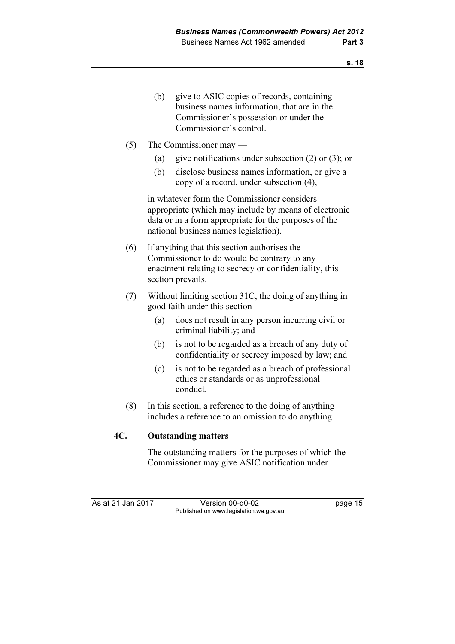- (b) give to ASIC copies of records, containing business names information, that are in the Commissioner's possession or under the Commissioner's control.
- (5) The Commissioner may
	- (a) give notifications under subsection (2) or (3); or
	- (b) disclose business names information, or give a copy of a record, under subsection (4),

 in whatever form the Commissioner considers appropriate (which may include by means of electronic data or in a form appropriate for the purposes of the national business names legislation).

- (6) If anything that this section authorises the Commissioner to do would be contrary to any enactment relating to secrecy or confidentiality, this section prevails.
- (7) Without limiting section 31C, the doing of anything in good faith under this section —
	- (a) does not result in any person incurring civil or criminal liability; and
	- (b) is not to be regarded as a breach of any duty of confidentiality or secrecy imposed by law; and
	- (c) is not to be regarded as a breach of professional ethics or standards or as unprofessional conduct.
- (8) In this section, a reference to the doing of anything includes a reference to an omission to do anything.

#### 4C. Outstanding matters

 The outstanding matters for the purposes of which the Commissioner may give ASIC notification under

As at 21 Jan 2017 Version 00-d0-02 page 15 Published on www.legislation.wa.gov.au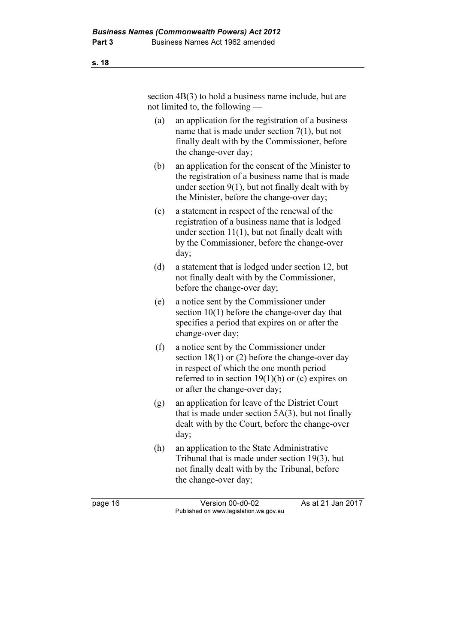section  $4B(3)$  to hold a business name include, but are not limited to, the following —

- (a) an application for the registration of a business name that is made under section 7(1), but not finally dealt with by the Commissioner, before the change-over day;
- (b) an application for the consent of the Minister to the registration of a business name that is made under section 9(1), but not finally dealt with by the Minister, before the change-over day;
- (c) a statement in respect of the renewal of the registration of a business name that is lodged under section 11(1), but not finally dealt with by the Commissioner, before the change-over day;
- (d) a statement that is lodged under section 12, but not finally dealt with by the Commissioner, before the change-over day;
- (e) a notice sent by the Commissioner under section 10(1) before the change-over day that specifies a period that expires on or after the change-over day;
- (f) a notice sent by the Commissioner under section 18(1) or (2) before the change-over day in respect of which the one month period referred to in section  $19(1)(b)$  or (c) expires on or after the change-over day;
- (g) an application for leave of the District Court that is made under section  $5A(3)$ , but not finally dealt with by the Court, before the change-over day;
- (h) an application to the State Administrative Tribunal that is made under section 19(3), but not finally dealt with by the Tribunal, before the change-over day;

page 16 Version 00-d0-02 As at 21 Jan 2017 Published on www.legislation.wa.gov.au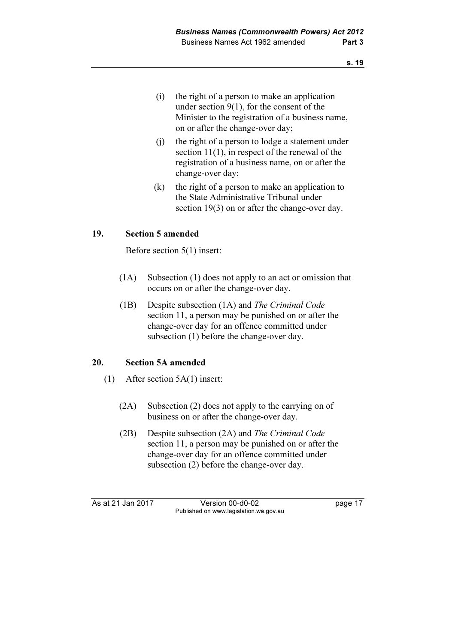- (i) the right of a person to make an application under section 9(1), for the consent of the Minister to the registration of a business name, on or after the change-over day;
- (j) the right of a person to lodge a statement under section 11(1), in respect of the renewal of the registration of a business name, on or after the change-over day;
- (k) the right of a person to make an application to the State Administrative Tribunal under section 19(3) on or after the change-over day.

# 19. Section 5 amended

Before section 5(1) insert:

- (1A) Subsection (1) does not apply to an act or omission that occurs on or after the change-over day.
- (1B) Despite subsection (1A) and The Criminal Code section 11, a person may be punished on or after the change-over day for an offence committed under subsection (1) before the change-over day.

### 20. Section 5A amended

- (1) After section 5A(1) insert:
	- (2A) Subsection (2) does not apply to the carrying on of business on or after the change-over day.
	- (2B) Despite subsection (2A) and The Criminal Code section 11, a person may be punished on or after the change-over day for an offence committed under subsection (2) before the change-over day.

As at 21 Jan 2017 Version 00-d0-02 page 17 Published on www.legislation.wa.gov.au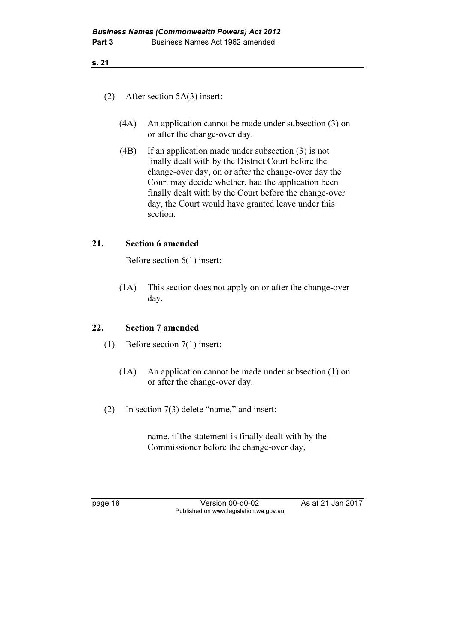- (2) After section 5A(3) insert:
	- (4A) An application cannot be made under subsection (3) on or after the change-over day.
	- (4B) If an application made under subsection (3) is not finally dealt with by the District Court before the change-over day, on or after the change-over day the Court may decide whether, had the application been finally dealt with by the Court before the change-over day, the Court would have granted leave under this section.

### 21. Section 6 amended

Before section 6(1) insert:

 (1A) This section does not apply on or after the change-over day.

### 22. Section 7 amended

- (1) Before section 7(1) insert:
	- (1A) An application cannot be made under subsection (1) on or after the change-over day.
- (2) In section 7(3) delete "name," and insert:

 name, if the statement is finally dealt with by the Commissioner before the change-over day,

page 18 Version 00-d0-02 As at 21 Jan 2017 Published on www.legislation.wa.gov.au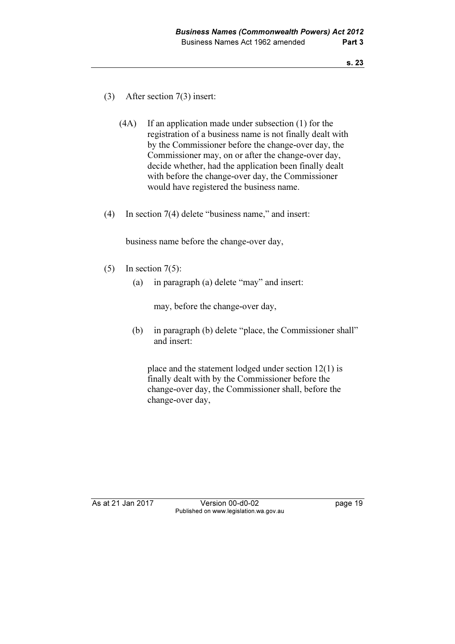- (3) After section 7(3) insert:
	- (4A) If an application made under subsection (1) for the registration of a business name is not finally dealt with by the Commissioner before the change-over day, the Commissioner may, on or after the change-over day, decide whether, had the application been finally dealt with before the change-over day, the Commissioner would have registered the business name.
- (4) In section 7(4) delete "business name," and insert:

business name before the change-over day,

- (5) In section  $7(5)$ :
	- (a) in paragraph (a) delete "may" and insert:

may, before the change-over day,

 (b) in paragraph (b) delete "place, the Commissioner shall" and insert:

 place and the statement lodged under section 12(1) is finally dealt with by the Commissioner before the change-over day, the Commissioner shall, before the change-over day,

As at 21 Jan 2017 Version 00-d0-02 page 19 Published on www.legislation.wa.gov.au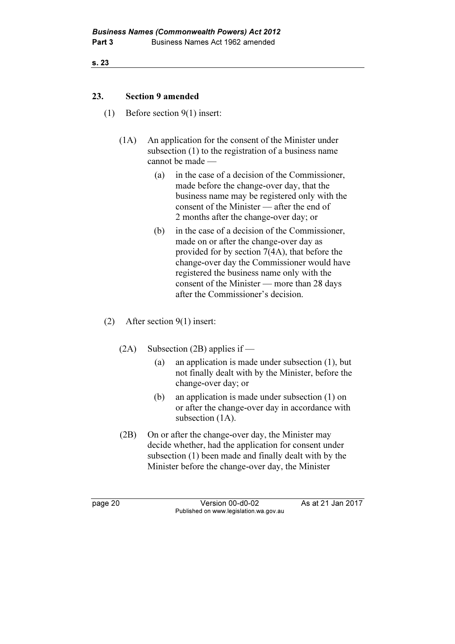#### 23. Section 9 amended

- (1) Before section 9(1) insert:
	- (1A) An application for the consent of the Minister under subsection (1) to the registration of a business name cannot be made —
		- (a) in the case of a decision of the Commissioner, made before the change-over day, that the business name may be registered only with the consent of the Minister — after the end of 2 months after the change-over day; or
		- (b) in the case of a decision of the Commissioner, made on or after the change-over day as provided for by section 7(4A), that before the change-over day the Commissioner would have registered the business name only with the consent of the Minister — more than 28 days after the Commissioner's decision.
- (2) After section 9(1) insert:
	- (2A) Subsection (2B) applies if
		- (a) an application is made under subsection (1), but not finally dealt with by the Minister, before the change-over day; or
		- (b) an application is made under subsection (1) on or after the change-over day in accordance with subsection  $(1A)$ .
	- (2B) On or after the change-over day, the Minister may decide whether, had the application for consent under subsection (1) been made and finally dealt with by the Minister before the change-over day, the Minister

page 20 Version 00-d0-02 As at 21 Jan 2017 Published on www.legislation.wa.gov.au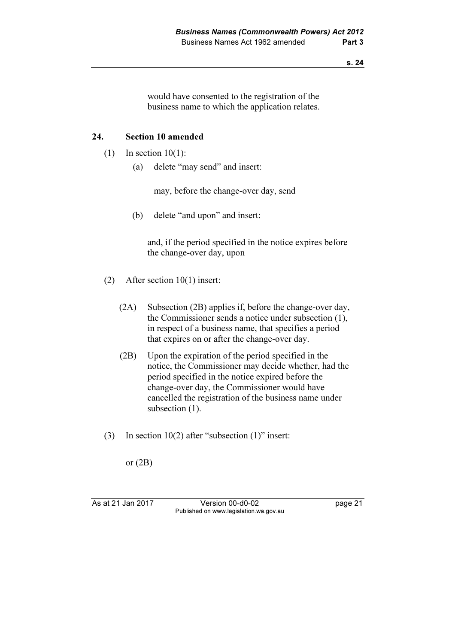would have consented to the registration of the business name to which the application relates.

#### 24. Section 10 amended

- $(1)$  In section 10(1):
	- (a) delete "may send" and insert:

may, before the change-over day, send

(b) delete "and upon" and insert:

 and, if the period specified in the notice expires before the change-over day, upon

- (2) After section 10(1) insert:
	- (2A) Subsection (2B) applies if, before the change-over day, the Commissioner sends a notice under subsection (1), in respect of a business name, that specifies a period that expires on or after the change-over day.
	- (2B) Upon the expiration of the period specified in the notice, the Commissioner may decide whether, had the period specified in the notice expired before the change-over day, the Commissioner would have cancelled the registration of the business name under subsection  $(1)$ .
- (3) In section 10(2) after "subsection (1)" insert:

or (2B)

As at 21 Jan 2017 Version 00-d0-02 page 21 Published on www.legislation.wa.gov.au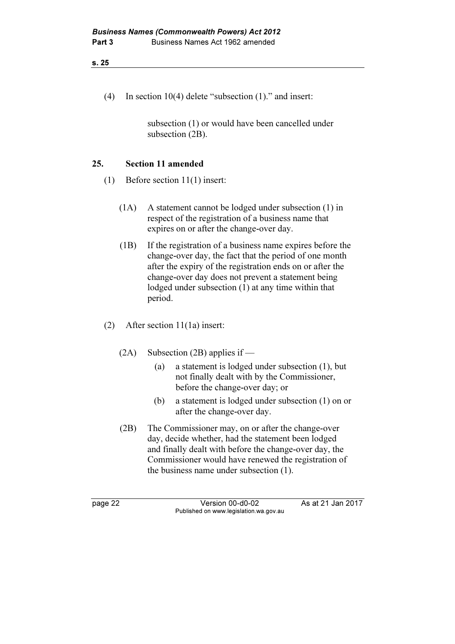(4) In section 10(4) delete "subsection (1)." and insert:

 subsection (1) or would have been cancelled under subsection (2B).

## 25. Section 11 amended

- (1) Before section 11(1) insert:
	- (1A) A statement cannot be lodged under subsection (1) in respect of the registration of a business name that expires on or after the change-over day.
	- (1B) If the registration of a business name expires before the change-over day, the fact that the period of one month after the expiry of the registration ends on or after the change-over day does not prevent a statement being lodged under subsection (1) at any time within that period.
- (2) After section 11(1a) insert:
	- (2A) Subsection (2B) applies if
		- (a) a statement is lodged under subsection (1), but not finally dealt with by the Commissioner, before the change-over day; or
		- (b) a statement is lodged under subsection (1) on or after the change-over day.
	- (2B) The Commissioner may, on or after the change-over day, decide whether, had the statement been lodged and finally dealt with before the change-over day, the Commissioner would have renewed the registration of the business name under subsection (1).

page 22 Version 00-d0-02 As at 21 Jan 2017 Published on www.legislation.wa.gov.au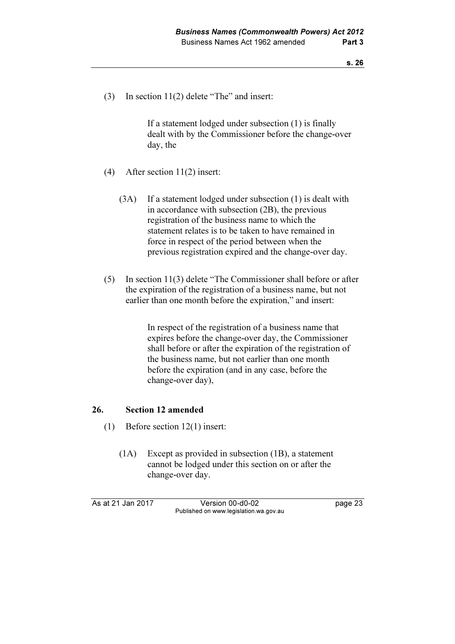(3) In section 11(2) delete "The" and insert:

 If a statement lodged under subsection (1) is finally dealt with by the Commissioner before the change-over day, the

- (4) After section 11(2) insert:
	- (3A) If a statement lodged under subsection (1) is dealt with in accordance with subsection (2B), the previous registration of the business name to which the statement relates is to be taken to have remained in force in respect of the period between when the previous registration expired and the change-over day.
- (5) In section 11(3) delete "The Commissioner shall before or after the expiration of the registration of a business name, but not earlier than one month before the expiration," and insert:

 In respect of the registration of a business name that expires before the change-over day, the Commissioner shall before or after the expiration of the registration of the business name, but not earlier than one month before the expiration (and in any case, before the change-over day),

#### 26. Section 12 amended

- (1) Before section 12(1) insert:
	- (1A) Except as provided in subsection (1B), a statement cannot be lodged under this section on or after the change-over day.

As at 21 Jan 2017 Version 00-d0-02 page 23 Published on www.legislation.wa.gov.au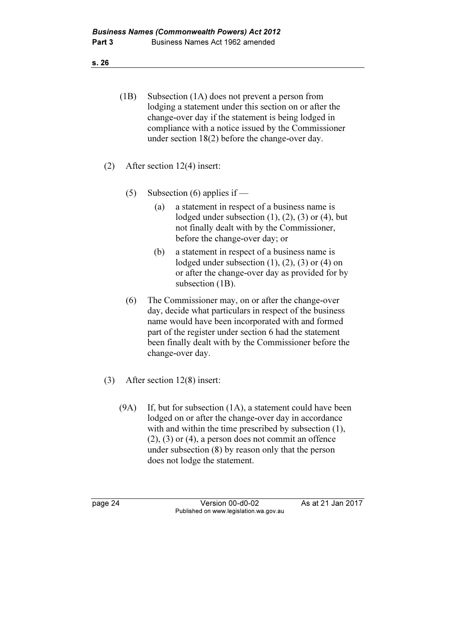- (1B) Subsection (1A) does not prevent a person from lodging a statement under this section on or after the change-over day if the statement is being lodged in compliance with a notice issued by the Commissioner under section 18(2) before the change-over day.
- (2) After section 12(4) insert:
	- (5) Subsection (6) applies if
		- (a) a statement in respect of a business name is lodged under subsection  $(1)$ ,  $(2)$ ,  $(3)$  or  $(4)$ , but not finally dealt with by the Commissioner, before the change-over day; or
		- (b) a statement in respect of a business name is lodged under subsection (1), (2), (3) or (4) on or after the change-over day as provided for by subsection (1B).
	- (6) The Commissioner may, on or after the change-over day, decide what particulars in respect of the business name would have been incorporated with and formed part of the register under section 6 had the statement been finally dealt with by the Commissioner before the change-over day.
- (3) After section 12(8) insert:
	- (9A) If, but for subsection (1A), a statement could have been lodged on or after the change-over day in accordance with and within the time prescribed by subsection  $(1)$ , (2), (3) or (4), a person does not commit an offence under subsection (8) by reason only that the person does not lodge the statement.

page 24 Version 00-d0-02 As at 21 Jan 2017 Published on www.legislation.wa.gov.au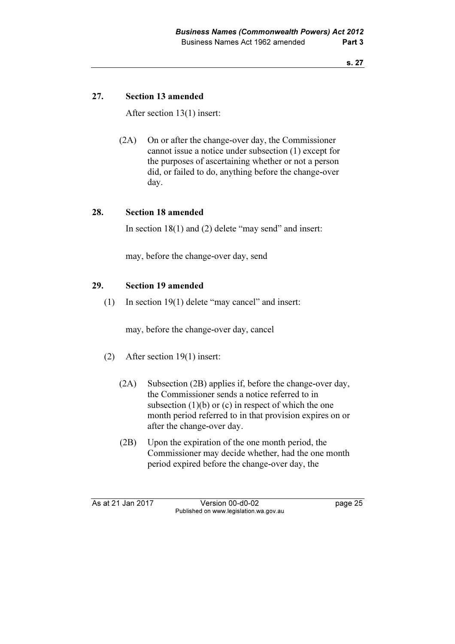## 27. Section 13 amended

After section 13(1) insert:

 (2A) On or after the change-over day, the Commissioner cannot issue a notice under subsection (1) except for the purposes of ascertaining whether or not a person did, or failed to do, anything before the change-over day.

### 28. Section 18 amended

In section 18(1) and (2) delete "may send" and insert:

may, before the change-over day, send

#### 29. Section 19 amended

(1) In section 19(1) delete "may cancel" and insert:

may, before the change-over day, cancel

- (2) After section 19(1) insert:
	- (2A) Subsection (2B) applies if, before the change-over day, the Commissioner sends a notice referred to in subsection  $(1)(b)$  or  $(c)$  in respect of which the one month period referred to in that provision expires on or after the change-over day.
	- (2B) Upon the expiration of the one month period, the Commissioner may decide whether, had the one month period expired before the change-over day, the

As at 21 Jan 2017 Version 00-d0-02 page 25 Published on www.legislation.wa.gov.au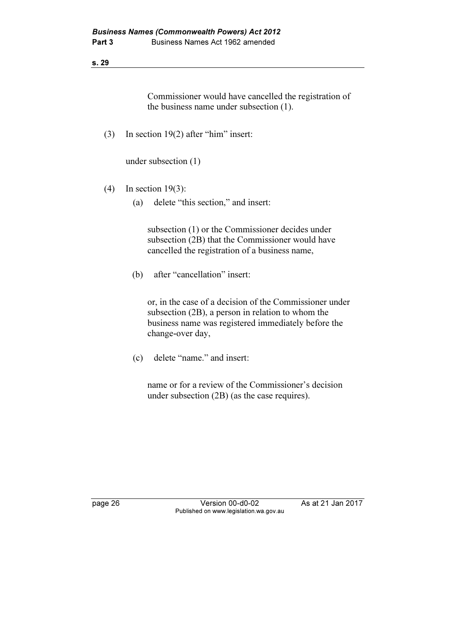Commissioner would have cancelled the registration of the business name under subsection (1).

(3) In section 19(2) after "him" insert:

under subsection (1)

- (4) In section 19(3):
	- (a) delete "this section," and insert:

 subsection (1) or the Commissioner decides under subsection (2B) that the Commissioner would have cancelled the registration of a business name,

(b) after "cancellation" insert:

 or, in the case of a decision of the Commissioner under subsection (2B), a person in relation to whom the business name was registered immediately before the change-over day,

(c) delete "name." and insert:

 name or for a review of the Commissioner's decision under subsection (2B) (as the case requires).

page 26 Version 00-d0-02 As at 21 Jan 2017 Published on www.legislation.wa.gov.au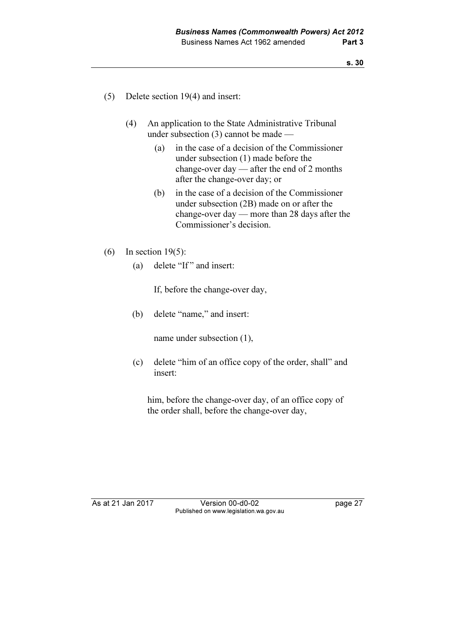- (5) Delete section 19(4) and insert:
	- (4) An application to the State Administrative Tribunal under subsection (3) cannot be made —
		- (a) in the case of a decision of the Commissioner under subsection (1) made before the change-over day — after the end of 2 months after the change-over day; or
		- (b) in the case of a decision of the Commissioner under subsection (2B) made on or after the change-over day — more than 28 days after the Commissioner's decision.
- (6) In section 19(5):
	- (a) delete "If" and insert:

If, before the change-over day,

(b) delete "name," and insert:

name under subsection (1),

 (c) delete "him of an office copy of the order, shall" and insert:

 him, before the change-over day, of an office copy of the order shall, before the change-over day,

As at 21 Jan 2017 Version 00-d0-02 page 27 Published on www.legislation.wa.gov.au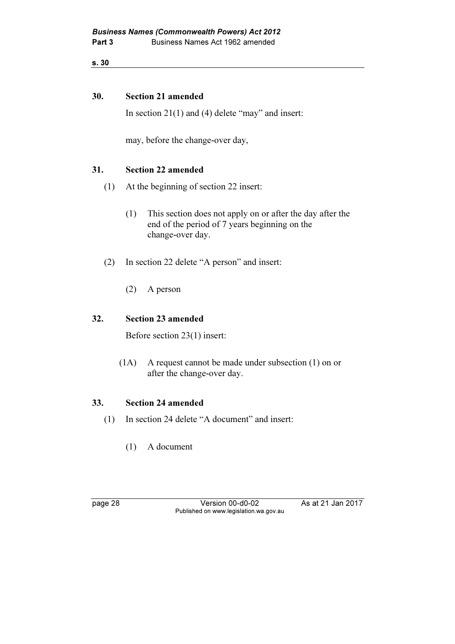#### 30. Section 21 amended

In section 21(1) and (4) delete "may" and insert:

may, before the change-over day,

### 31. Section 22 amended

- (1) At the beginning of section 22 insert:
	- (1) This section does not apply on or after the day after the end of the period of 7 years beginning on the change-over day.
- (2) In section 22 delete "A person" and insert:
	- (2) A person

#### 32. Section 23 amended

Before section 23(1) insert:

 (1A) A request cannot be made under subsection (1) on or after the change-over day.

#### 33. Section 24 amended

- (1) In section 24 delete "A document" and insert:
	- (1) A document

page 28 Version 00-d0-02 As at 21 Jan 2017 Published on www.legislation.wa.gov.au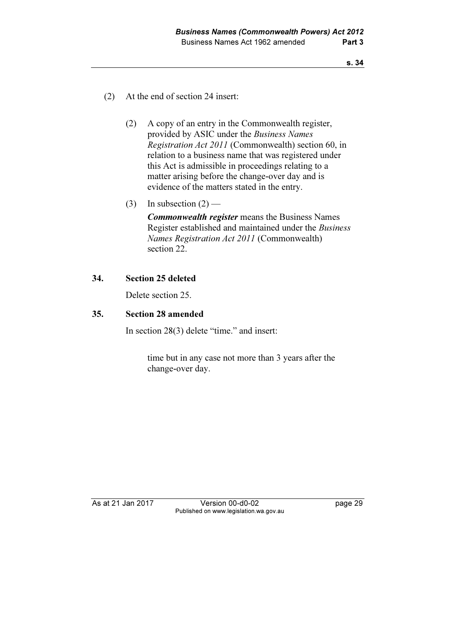- (2) At the end of section 24 insert:
	- (2) A copy of an entry in the Commonwealth register, provided by ASIC under the Business Names Registration Act 2011 (Commonwealth) section 60, in relation to a business name that was registered under this Act is admissible in proceedings relating to a matter arising before the change-over day and is evidence of the matters stated in the entry.
	- (3) In subsection  $(2)$  —

Commonwealth register means the Business Names Register established and maintained under the Business Names Registration Act 2011 (Commonwealth) section 22.

#### 34. Section 25 deleted

Delete section 25.

#### 35. Section 28 amended

In section 28(3) delete "time." and insert:

 time but in any case not more than 3 years after the change-over day.

As at 21 Jan 2017 Version 00-d0-02 page 29 Published on www.legislation.wa.gov.au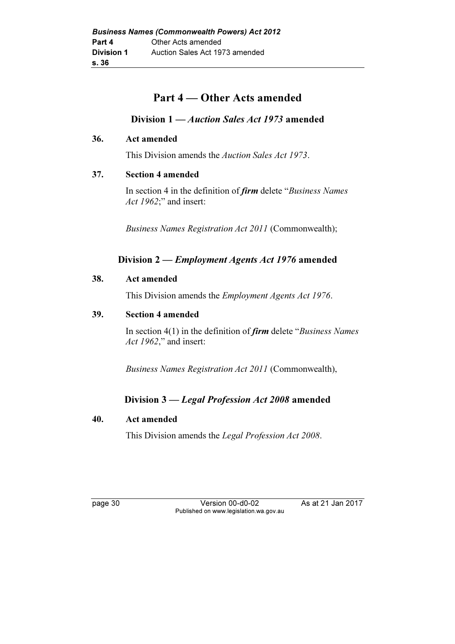# Part 4 — Other Acts amended

# Division 1 — Auction Sales Act 1973 amended

#### 36. Act amended

This Division amends the Auction Sales Act 1973.

#### 37. Section 4 amended

In section 4 in the definition of *firm* delete "*Business Names* Act 1962;" and insert:

Business Names Registration Act 2011 (Commonwealth);

# Division 2 — Employment Agents Act 1976 amended

#### 38. Act amended

This Division amends the Employment Agents Act 1976.

#### 39. Section 4 amended

In section  $4(1)$  in the definition of *firm* delete "*Business Names* Act 1962," and insert:

Business Names Registration Act 2011 (Commonwealth),

# Division 3 — Legal Profession Act 2008 amended

### 40. Act amended

This Division amends the Legal Profession Act 2008.

page 30 Version 00-d0-02 As at 21 Jan 2017 Published on www.legislation.wa.gov.au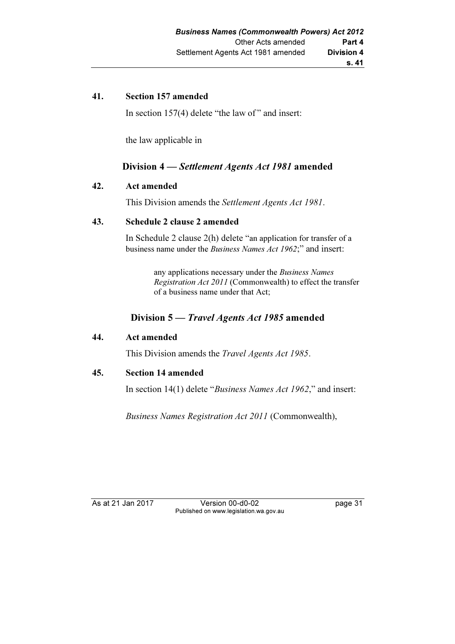### 41. Section 157 amended

In section 157(4) delete "the law of " and insert:

the law applicable in

## Division 4 — Settlement Agents Act 1981 amended

#### 42. Act amended

This Division amends the Settlement Agents Act 1981.

#### 43. Schedule 2 clause 2 amended

 In Schedule 2 clause 2(h) delete "an application for transfer of a business name under the Business Names Act 1962;" and insert:

> any applications necessary under the Business Names Registration Act 2011 (Commonwealth) to effect the transfer of a business name under that Act;

# Division 5 — Travel Agents Act 1985 amended

#### 44. Act amended

This Division amends the Travel Agents Act 1985.

#### 45. Section 14 amended

In section 14(1) delete "Business Names Act 1962," and insert:

Business Names Registration Act 2011 (Commonwealth),

As at 21 Jan 2017 Version 00-d0-02 page 31 Published on www.legislation.wa.gov.au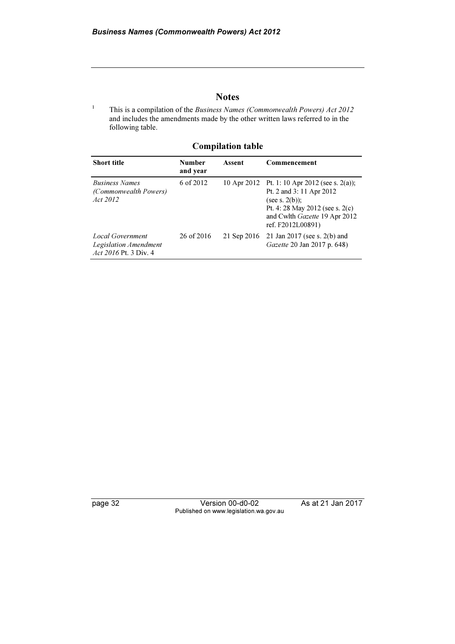#### **Notes**

 This is a compilation of the Business Names (Commonwealth Powers) Act 2012 and includes the amendments made by the other written laws referred to in the following table.

| <b>Short title</b>                                                 | <b>Number</b><br>and year | Assent      | Commencement                                                                                                                                                                              |
|--------------------------------------------------------------------|---------------------------|-------------|-------------------------------------------------------------------------------------------------------------------------------------------------------------------------------------------|
| <b>Business Names</b><br>(Commonwealth Powers)<br>Act 2012         | 6 of 2012                 |             | 10 Apr 2012 Pt. 1: 10 Apr 2012 (see s. 2(a));<br>Pt. 2 and 3:11 Apr 2012<br>(see s. $2(b)$ );<br>Pt. 4:28 May 2012 (see s. $2(c)$ )<br>and Cwlth Gazette 19 Apr 2012<br>ref. F2012L00891) |
| Local Government<br>Legislation Amendment<br>Act 2016 Pt. 3 Div. 4 | 26 of 2016                | 21 Sep 2016 | 21 Jan 2017 (see s. 2(b) and<br>Gazette 20 Jan 2017 p. 648)                                                                                                                               |

Compilation table

1

page 32 Version 00-d0-02 As at 21 Jan 2017 Published on www.legislation.wa.gov.au